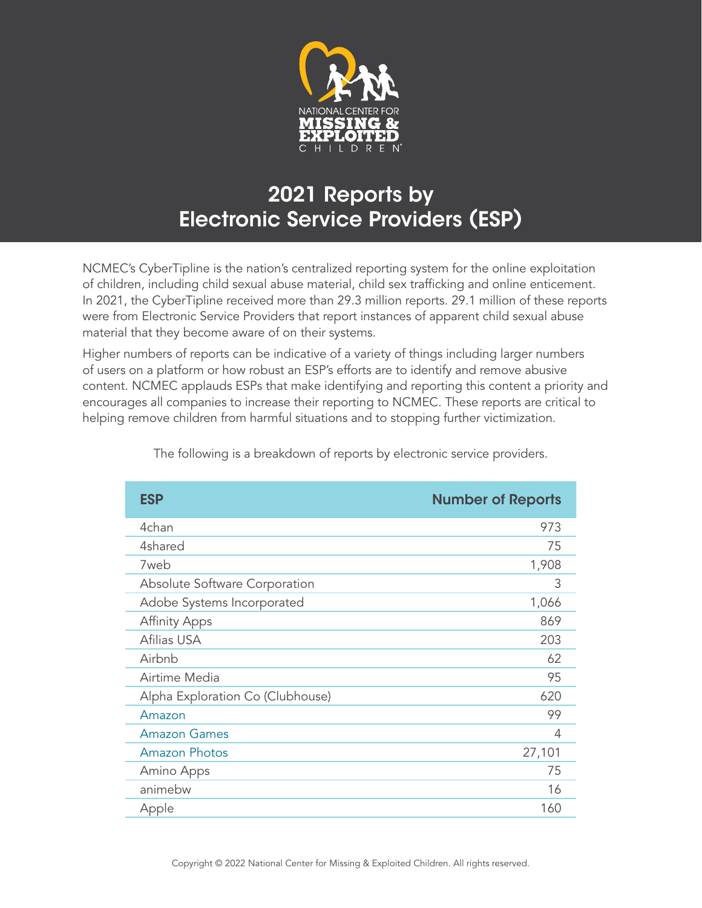

## 2021 Reports by Electronic Service Providers (ESP)

NCMEC's CyberTipline is the nation's centralized reporting system for the online exploitation of children, including child sexual abuse material, child sex trafficking and online enticement. In 2021, the CyberTipline received more than 29.3 million reports. 29.1 million of these reports were from Electronic Service Providers that report instances of apparent child sexual abuse material that they become aware of on their systems.

Higher numbers of reports can be indicative of a variety of things including larger numbers of users on a platform or how robust an ESP's efforts are to identify and remove abusive content. NCMEC applauds ESPs that make identifying and reporting this content a priority and encourages all companies to increase their reporting to NCMEC. These reports are critical to helping remove children from harmful situations and to stopping further victimization.

| <b>ESP</b>                       | <b>Number of Reports</b> |
|----------------------------------|--------------------------|
| 4chan                            | 973                      |
| 4shared                          | 75                       |
| 7web                             | 1,908                    |
| Absolute Software Corporation    | 3                        |
| Adobe Systems Incorporated       | 1,066                    |
| <b>Affinity Apps</b>             | 869                      |
| Afilias USA                      | 203                      |
| Airbnb                           | 62                       |
| Airtime Media                    | 95                       |
| Alpha Exploration Co (Clubhouse) | 620                      |
| Amazon                           | 99                       |
| <b>Amazon Games</b>              | 4                        |
| <b>Amazon Photos</b>             | 27,101                   |
| Amino Apps                       | 75                       |
| animebw                          | 16                       |
| Apple                            | 160                      |

The following is a breakdown of reports by electronic service providers.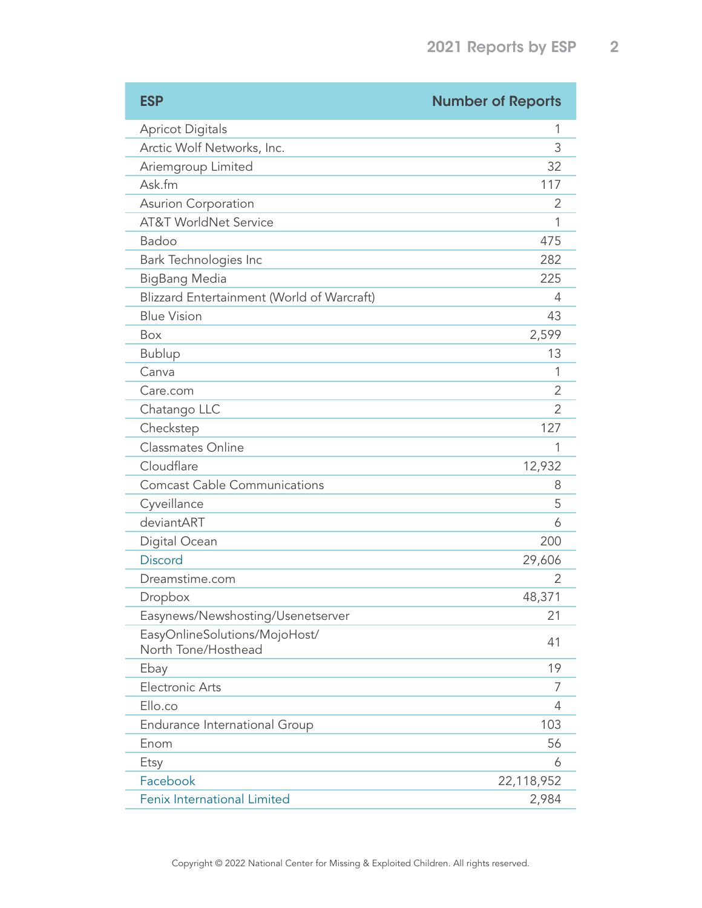| <b>ESP</b>                                           | <b>Number of Reports</b> |
|------------------------------------------------------|--------------------------|
| <b>Apricot Digitals</b>                              | 1                        |
| Arctic Wolf Networks, Inc.                           | 3                        |
| Ariemgroup Limited                                   | 32                       |
| Ask.fm                                               | 117                      |
| Asurion Corporation                                  | 2                        |
| <b>AT&amp;T WorldNet Service</b>                     | 1                        |
| Badoo                                                | 475                      |
| Bark Technologies Inc                                | 282                      |
| <b>BigBang Media</b>                                 | 225                      |
| Blizzard Entertainment (World of Warcraft)           | 4                        |
| <b>Blue Vision</b>                                   | 43                       |
| <b>Box</b>                                           | 2,599                    |
| <b>Bublup</b>                                        | 13                       |
| Canva                                                | 1                        |
| Care.com                                             | 2                        |
| Chatango LLC                                         | 2                        |
| Checkstep                                            | 127                      |
| Classmates Online                                    | 1                        |
| Cloudflare                                           | 12,932                   |
| <b>Comcast Cable Communications</b>                  | 8                        |
| Cyveillance                                          | 5                        |
| deviantART                                           | 6                        |
| Digital Ocean                                        | 200                      |
| <b>Discord</b>                                       | 29,606                   |
| Dreamstime.com                                       | 2                        |
| Dropbox                                              | 48,371                   |
| Easynews/Newshosting/Usenetserver                    | 21                       |
| EasyOnlineSolutions/MojoHost/<br>North Tone/Hosthead | 41                       |
| Ebay                                                 | 19                       |
| <b>Electronic Arts</b>                               | 7                        |
| Ello.co                                              | 4                        |
| Endurance International Group                        | 103                      |
| Enom                                                 | 56                       |
| Etsy                                                 | 6                        |
| Facebook                                             | 22,118,952               |
| Fenix International Limited                          | 2,984                    |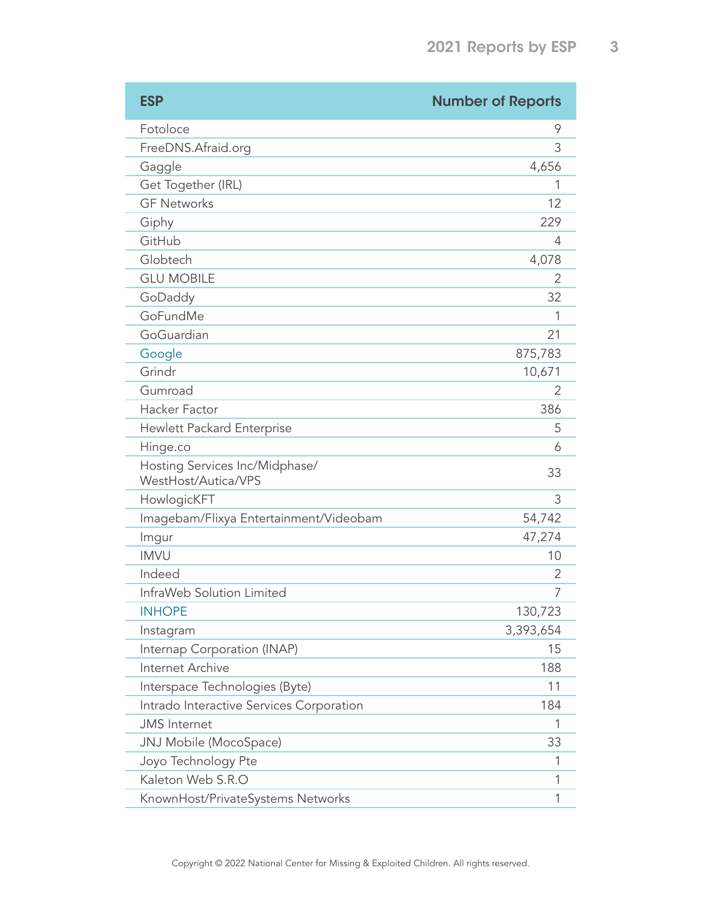| <b>ESP</b>                                            | <b>Number of Reports</b> |
|-------------------------------------------------------|--------------------------|
| Fotoloce                                              | 9                        |
| FreeDNS.Afraid.org                                    | 3                        |
| Gaggle                                                | 4,656                    |
| Get Together (IRL)                                    | 1                        |
| <b>GF Networks</b>                                    | 12                       |
| Giphy                                                 | 229                      |
| GitHub                                                | 4                        |
| Globtech                                              | 4,078                    |
| <b>GLU MOBILE</b>                                     | $\mathcal{P}$            |
| GoDaddy                                               | 32                       |
| GoFundMe                                              | 1                        |
| GoGuardian                                            | 21                       |
| Google                                                | 875,783                  |
| Grindr                                                | 10,671                   |
| Gumroad                                               | 2                        |
| Hacker Factor                                         | 386                      |
| Hewlett Packard Enterprise                            | 5                        |
| Hinge.co                                              | 6                        |
| Hosting Services Inc/Midphase/<br>WestHost/Autica/VPS | 33                       |
| HowlogicKFT                                           | 3                        |
| Imagebam/Flixya Entertainment/Videobam                | 54,742                   |
| Imgur                                                 | 47,274                   |
| <b>IMVU</b>                                           | 10                       |
| Indeed                                                | 2                        |
| InfraWeb Solution Limited                             | 7                        |
| <b>INHOPE</b>                                         | 130,723                  |
| Instagram                                             | 3,393,654                |
| Internap Corporation (INAP)                           | 15                       |
| Internet Archive                                      | 188                      |
| Interspace Technologies (Byte)                        | 11                       |
| Intrado Interactive Services Corporation              | 184                      |
| <b>JMS</b> Internet                                   | 1                        |
| JNJ Mobile (MocoSpace)                                | 33                       |
| Joyo Technology Pte                                   | 1                        |
| Kaleton Web S.R.O                                     | 1                        |
| KnownHost/PrivateSystems Networks                     | 1                        |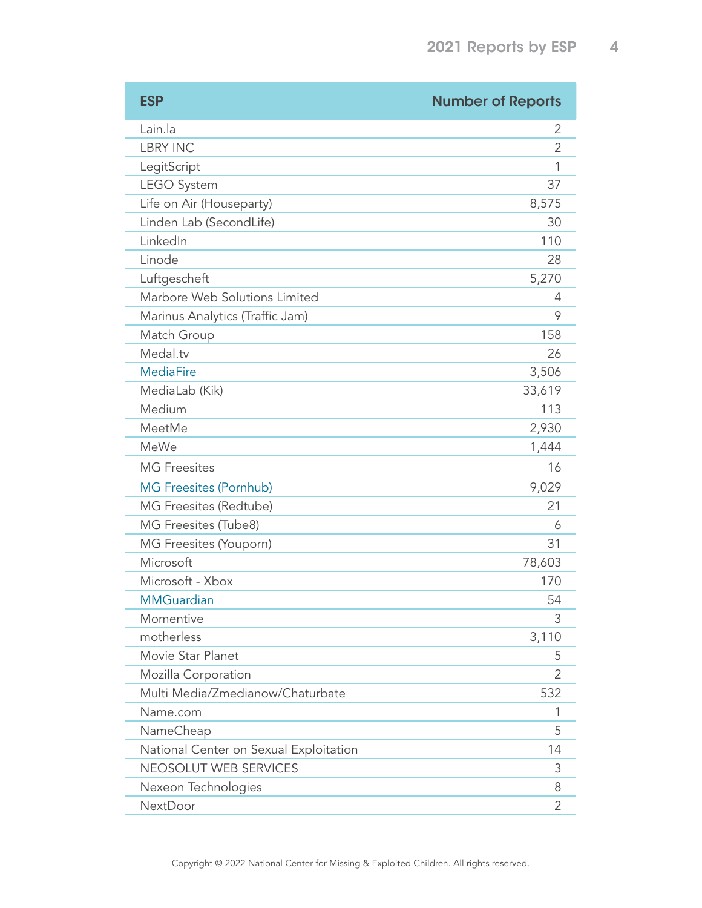| <b>ESP</b>                             | <b>Number of Reports</b> |
|----------------------------------------|--------------------------|
| Lain.la                                | 2                        |
| <b>LBRY INC</b>                        | 2                        |
| LegitScript                            | 1                        |
| <b>LEGO System</b>                     | 37                       |
| Life on Air (Houseparty)               | 8,575                    |
| Linden Lab (SecondLife)                | 30                       |
| LinkedIn                               | 110                      |
| Linode                                 | 28                       |
| Luftgescheft                           | 5,270                    |
| Marbore Web Solutions Limited          | 4                        |
| Marinus Analytics (Traffic Jam)        | 9                        |
| Match Group                            | 158                      |
| Medal.tv                               | 26                       |
| <b>MediaFire</b>                       | 3,506                    |
| MediaLab (Kik)                         | 33,619                   |
| Medium                                 | 113                      |
| MeetMe                                 | 2,930                    |
| <b>MeWe</b>                            | 1,444                    |
| <b>MG</b> Freesites                    | 16                       |
| <b>MG Freesites (Pornhub)</b>          | 9,029                    |
| MG Freesites (Redtube)                 | 21                       |
| MG Freesites (Tube8)                   | 6                        |
| MG Freesites (Youporn)                 | 31                       |
| Microsoft                              | 78,603                   |
| Microsoft - Xbox                       | 170                      |
| <b>MMGuardian</b>                      | 54                       |
| Momentive                              | 3                        |
| motherless                             | 3,110                    |
| Movie Star Planet                      | 5                        |
| Mozilla Corporation                    | 2                        |
| Multi Media/Zmedianow/Chaturbate       | 532                      |
| Name.com                               | 1                        |
| NameCheap                              | 5                        |
| National Center on Sexual Exploitation | 14                       |
| NEOSOLUT WEB SERVICES                  | 3                        |
| Nexeon Technologies                    | 8                        |
| NextDoor                               | 2                        |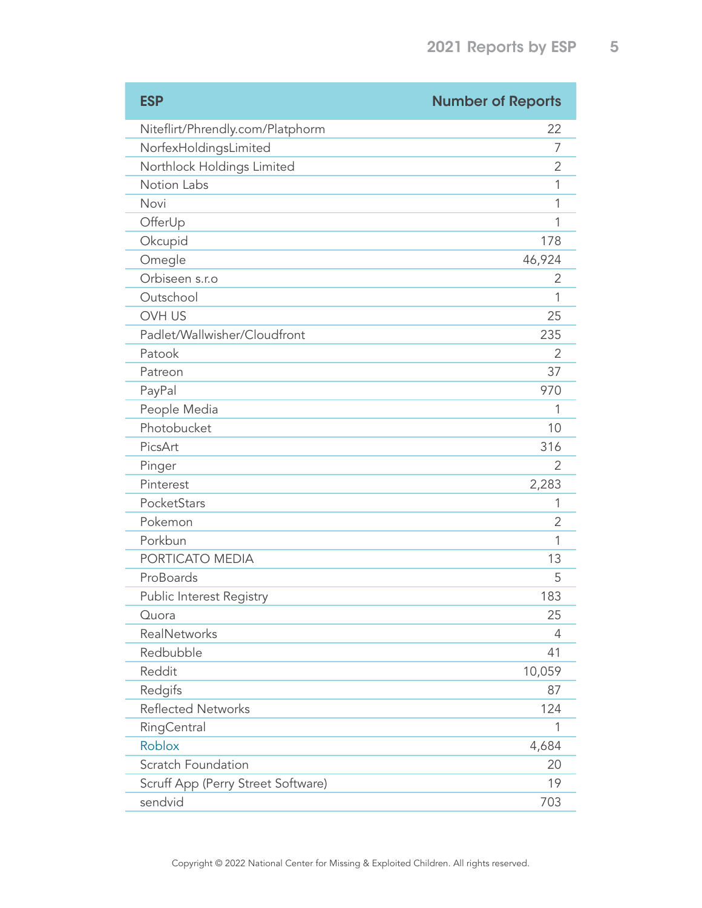| <b>ESP</b>                         | <b>Number of Reports</b> |
|------------------------------------|--------------------------|
| Niteflirt/Phrendly.com/Platphorm   | 22                       |
| NorfexHoldingsLimited              | 7                        |
| Northlock Holdings Limited         | 2                        |
| Notion Labs                        | 1                        |
| Novi                               | 1                        |
| OfferUp                            | 1                        |
| Okcupid                            | 178                      |
| Omegle                             | 46,924                   |
| Orbiseen s.r.o                     | 2                        |
| Outschool                          | 1                        |
| <b>OVH US</b>                      | 25                       |
| Padlet/Wallwisher/Cloudfront       | 235                      |
| Patook                             | 2                        |
| Patreon                            | 37                       |
| PayPal                             | 970                      |
| People Media                       |                          |
| Photobucket                        | 10                       |
| PicsArt                            | 316                      |
| Pinger                             | 2                        |
| Pinterest                          | 2,283                    |
| PocketStars                        | 1                        |
| Pokemon                            | 2                        |
| Porkbun                            | 1                        |
| PORTICATO MEDIA                    | 13                       |
| ProBoards                          | 5                        |
| Public Interest Registry           | 183                      |
| Quora                              | 25                       |
| RealNetworks                       | 4                        |
| Redbubble                          | 41                       |
| Reddit                             | 10,059                   |
| Redgifs                            | 87                       |
| <b>Reflected Networks</b>          | 124                      |
| RingCentral                        | 1                        |
| <b>Roblox</b>                      | 4,684                    |
| Scratch Foundation                 | 20                       |
| Scruff App (Perry Street Software) | 19                       |
| sendvid                            | 703                      |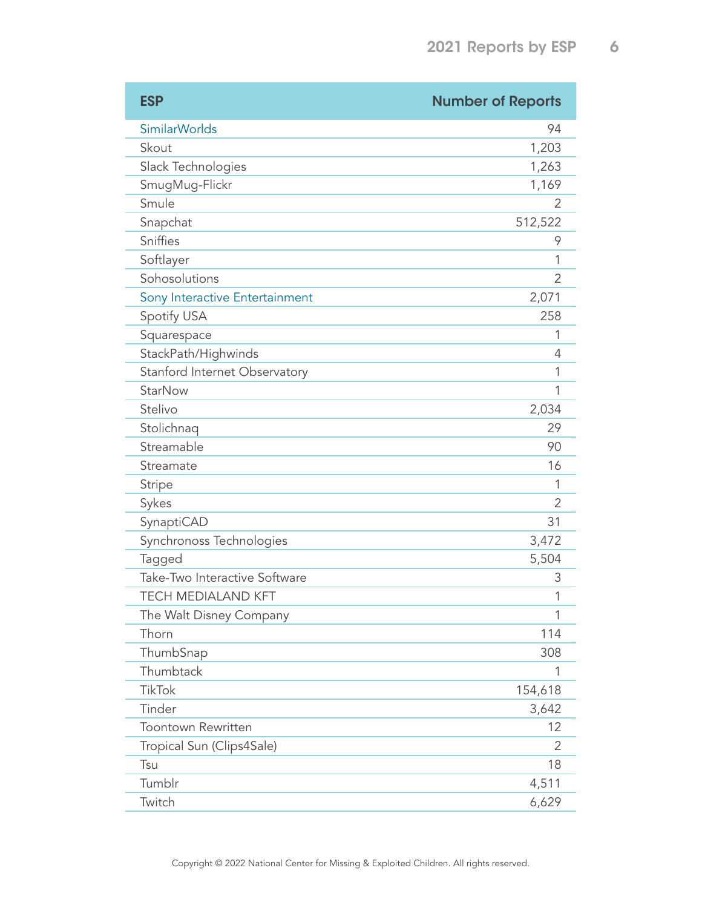| <b>ESP</b>                     | <b>Number of Reports</b> |
|--------------------------------|--------------------------|
| <b>SimilarWorlds</b>           | 94                       |
| Skout                          | 1,203                    |
| Slack Technologies             | 1,263                    |
| SmugMug-Flickr                 | 1,169                    |
| Smule                          | 2                        |
| Snapchat                       | 512,522                  |
| Sniffies                       | 9                        |
| Softlayer                      | 1                        |
| Sohosolutions                  | 2                        |
| Sony Interactive Entertainment | 2,071                    |
| Spotify USA                    | 258                      |
| Squarespace                    | 1                        |
| StackPath/Highwinds            | 4                        |
| Stanford Internet Observatory  | 1                        |
| <b>StarNow</b>                 | 1                        |
| Stelivo                        | 2,034                    |
| Stolichnaq                     | 29                       |
| Streamable                     | 90                       |
| Streamate                      | 16                       |
| <b>Stripe</b>                  | 1                        |
| Sykes                          | 2                        |
| SynaptiCAD                     | 31                       |
| Synchronoss Technologies       | 3,472                    |
| Tagged                         | 5,504                    |
| Take-Two Interactive Software  | 3                        |
| <b>TECH MEDIALAND KFT</b>      | 1                        |
| The Walt Disney Company        | 1                        |
| Thorn                          | 114                      |
| ThumbSnap                      | 308                      |
| Thumbtack                      | 1                        |
| <b>TikTok</b>                  | 154,618                  |
| Tinder                         | 3,642                    |
| <b>Toontown Rewritten</b>      | 12                       |
| Tropical Sun (Clips4Sale)      | 2                        |
| Tsu                            | 18                       |
| Tumblr                         | 4,511                    |
| Twitch                         | 6,629                    |